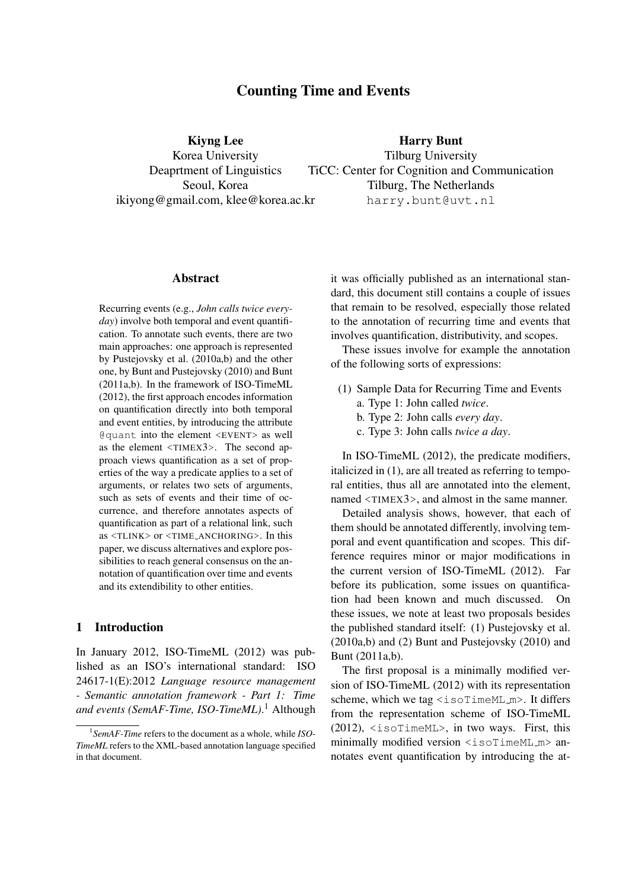# Counting Time and Events

Kiyng Lee Korea University Deaprtment of Linguistics Seoul, Korea ikiyong@gmail.com, klee@korea.ac.kr

Harry Bunt Tilburg University TiCC: Center for Cognition and Communication Tilburg, The Netherlands harry.bunt@uvt.nl

#### Abstract

Recurring events (e.g., *John calls twice everyday*) involve both temporal and event quantification. To annotate such events, there are two main approaches: one approach is represented by Pustejovsky et al. (2010a,b) and the other one, by Bunt and Pustejovsky (2010) and Bunt (2011a,b). In the framework of ISO-TimeML (2012), the first approach encodes information on quantification directly into both temporal and event entities, by introducing the attribute @quant into the element <EVENT> as well as the element <TIMEX3>. The second approach views quantification as a set of properties of the way a predicate applies to a set of arguments, or relates two sets of arguments, such as sets of events and their time of occurrence, and therefore annotates aspects of quantification as part of a relational link, such as <TLINK> or <TIME ANCHORING>. In this paper, we discuss alternatives and explore possibilities to reach general consensus on the annotation of quantification over time and events and its extendibility to other entities.

### 1 Introduction

In January 2012, ISO-TimeML (2012) was published as an ISO's international standard: ISO 24617-1(E):2012 *Language resource management - Semantic annotation framework - Part 1: Time and events (SemAF-Time, ISO-TimeML)*. <sup>1</sup> Although

it was officially published as an international standard, this document still contains a couple of issues that remain to be resolved, especially those related to the annotation of recurring time and events that involves quantification, distributivity, and scopes.

These issues involve for example the annotation of the following sorts of expressions:

- (1) Sample Data for Recurring Time and Events
	- a. Type 1: John called *twice*.
	- b. Type 2: John calls *every day*.
	- c. Type 3: John calls *twice a day*.

In ISO-TimeML (2012), the predicate modifiers, italicized in (1), are all treated as referring to temporal entities, thus all are annotated into the element, named <TIMEX3>, and almost in the same manner.

Detailed analysis shows, however, that each of them should be annotated differently, involving temporal and event quantification and scopes. This difference requires minor or major modifications in the current version of ISO-TimeML (2012). Far before its publication, some issues on quantification had been known and much discussed. On these issues, we note at least two proposals besides the published standard itself: (1) Pustejovsky et al. (2010a,b) and (2) Bunt and Pustejovsky (2010) and Bunt (2011a,b).

The first proposal is a minimally modified version of ISO-TimeML (2012) with its representation scheme, which we tag <isoTimeML\_m>. It differs from the representation scheme of ISO-TimeML (2012), <isoTimeML>, in two ways. First, this minimally modified version <isoTimeML\_m> annotates event quantification by introducing the at-

<sup>1</sup> *SemAF-Time* refers to the document as a whole, while *ISO-TimeML* refers to the XML-based annotation language specified in that document.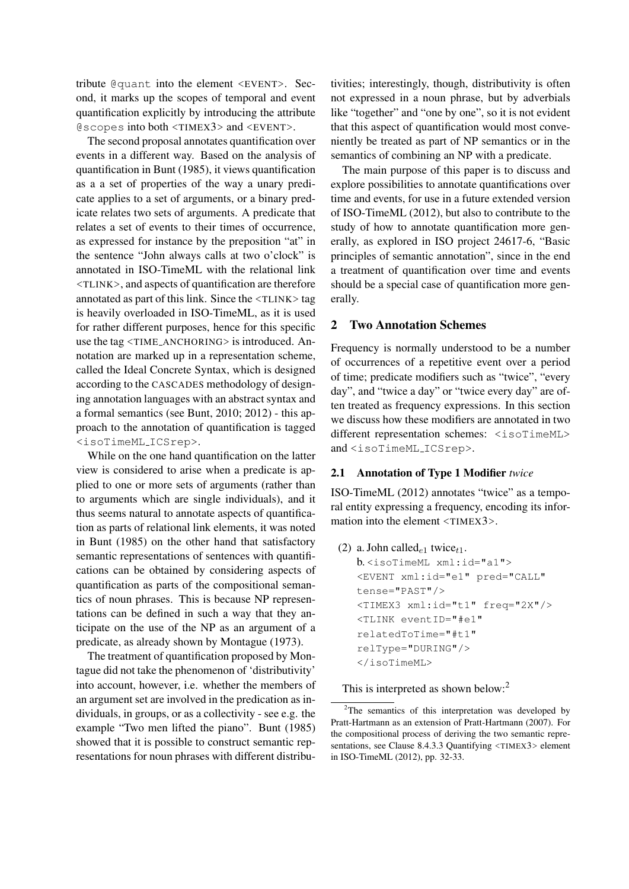tribute @quant into the element <EVENT>. Second, it marks up the scopes of temporal and event quantification explicitly by introducing the attribute @scopes into both <TIMEX3> and <EVENT>.

The second proposal annotates quantification over events in a different way. Based on the analysis of quantification in Bunt (1985), it views quantification as a a set of properties of the way a unary predicate applies to a set of arguments, or a binary predicate relates two sets of arguments. A predicate that relates a set of events to their times of occurrence, as expressed for instance by the preposition "at" in the sentence "John always calls at two o'clock" is annotated in ISO-TimeML with the relational link <TLINK>, and aspects of quantification are therefore annotated as part of this link. Since the  $\langle \text{TLINK} \rangle$  tag is heavily overloaded in ISO-TimeML, as it is used for rather different purposes, hence for this specific use the tag <TIME ANCHORING> is introduced. Annotation are marked up in a representation scheme, called the Ideal Concrete Syntax, which is designed according to the CASCADES methodology of designing annotation languages with an abstract syntax and a formal semantics (see Bunt, 2010; 2012) - this approach to the annotation of quantification is tagged <isoTimeML ICSrep>.

While on the one hand quantification on the latter view is considered to arise when a predicate is applied to one or more sets of arguments (rather than to arguments which are single individuals), and it thus seems natural to annotate aspects of quantification as parts of relational link elements, it was noted in Bunt (1985) on the other hand that satisfactory semantic representations of sentences with quantifications can be obtained by considering aspects of quantification as parts of the compositional semantics of noun phrases. This is because NP representations can be defined in such a way that they anticipate on the use of the NP as an argument of a predicate, as already shown by Montague (1973).

The treatment of quantification proposed by Montague did not take the phenomenon of 'distributivity' into account, however, i.e. whether the members of an argument set are involved in the predication as individuals, in groups, or as a collectivity - see e.g. the example "Two men lifted the piano". Bunt (1985) showed that it is possible to construct semantic representations for noun phrases with different distribu-

tivities; interestingly, though, distributivity is often not expressed in a noun phrase, but by adverbials like "together" and "one by one", so it is not evident that this aspect of quantification would most conveniently be treated as part of NP semantics or in the semantics of combining an NP with a predicate.

The main purpose of this paper is to discuss and explore possibilities to annotate quantifications over time and events, for use in a future extended version of ISO-TimeML (2012), but also to contribute to the study of how to annotate quantification more generally, as explored in ISO project 24617-6, "Basic principles of semantic annotation", since in the end a treatment of quantification over time and events should be a special case of quantification more generally.

# 2 Two Annotation Schemes

Frequency is normally understood to be a number of occurrences of a repetitive event over a period of time; predicate modifiers such as "twice", "every day", and "twice a day" or "twice every day" are often treated as frequency expressions. In this section we discuss how these modifiers are annotated in two different representation schemes: <isoTimeML> and <isoTimeML ICSrep>.

# 2.1 Annotation of Type 1 Modifier *twice*

ISO-TimeML (2012) annotates "twice" as a temporal entity expressing a frequency, encoding its information into the element <TIMEX3>.

(2) a. John called<sub>e1</sub> twice<sub>t1</sub>.

```
b. <isoTimeML xml:id="a1">
<EVENT xml:id="e1" pred="CALL"
tense="PAST"/>
<TIMEX3 xml:id="t1" freq="2X"/>
<TLINK eventID="#e1"
relatedToTime="#t1"
relType="DURING"/>
</isoTimeML>
```
This is interpreted as shown below:<sup>2</sup>

<sup>&</sup>lt;sup>2</sup>The semantics of this interpretation was developed by Pratt-Hartmann as an extension of Pratt-Hartmann (2007). For the compositional process of deriving the two semantic representations, see Clause 8.4.3.3 Quantifying <TIMEX3> element in ISO-TimeML (2012), pp. 32-33.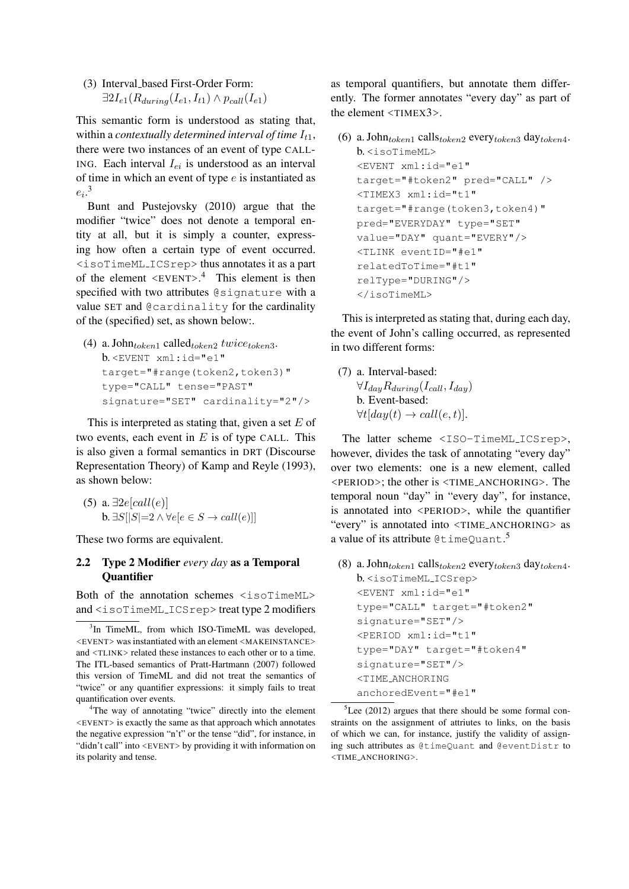(3) Interval based First-Order Form:  $\exists 2I_{e1}(R_{during}(I_{e1}, I_{t1}) \wedge p_{call}(I_{e1}))$ 

This semantic form is understood as stating that, within a *contextually determined interval of time*  $I_{t1}$ , there were two instances of an event of type CALL-ING. Each interval  $I_{ei}$  is understood as an interval of time in which an event of type  $e$  is instantiated as  $e_i$ <sup>3</sup>

Bunt and Pustejovsky (2010) argue that the modifier "twice" does not denote a temporal entity at all, but it is simply a counter, expressing how often a certain type of event occurred. <isoTimeML ICSrep> thus annotates it as a part of the element  $\langle$ EVENT>.<sup>4</sup> This element is then specified with two attributes @signature with a value SET and @cardinality for the cardinality of the (specified) set, as shown below:.

(4) a. John $_{token1}$  called $_{token2}$  twice<sub>token3</sub>. b. <EVENT xml:id="e1" target="#range(token2,token3)" type="CALL" tense="PAST" signature="SET" cardinality="2"/>

This is interpreted as stating that, given a set  $E$  of two events, each event in  $E$  is of type CALL. This is also given a formal semantics in DRT (Discourse Representation Theory) of Kamp and Reyle (1993), as shown below:

(5) a.  $\exists 2e[call(e)]$ **b.**  $\exists S[|S|=2 \land \forall e[e \in S \rightarrow call(e)]$ 

These two forms are equivalent.

# 2.2 Type 2 Modifier *every day* as a Temporal **Ouantifier**

Both of the annotation schemes <isoTimeML> and <isoTimeML ICSrep> treat type 2 modifiers as temporal quantifiers, but annotate them differently. The former annotates "every day" as part of the element <TIMEX3>.

```
(6) a. John_{token1} calls_{token2} every_{token3} day_{token4}.
   b. <isoTimeML>
   <EVENT xml:id="e1"
   target="#token2" pred="CALL" />
   <TIMEX3 xml:id="t1"
   target="#range(token3,token4)"
   pred="EVERYDAY" type="SET"
   value="DAY" quant="EVERY"/>
   <TLINK eventID="#e1"
   relatedToTime="#t1"
   relType="DURING"/>
   </isoTimeML>
```
This is interpreted as stating that, during each day, the event of John's calling occurred, as represented in two different forms:

(7) a. Interval-based:  $\forall I_{dav}R_{durina}(I_{call}, I_{dav})$ b. Event-based:  $\forall t [day(t) \rightarrow call(e, t)].$ 

The latter scheme <ISO-TimeML ICSrep>, however, divides the task of annotating "every day" over two elements: one is a new element, called <PERIOD>; the other is <TIME ANCHORING>. The temporal noun "day" in "every day", for instance, is annotated into <PERIOD>, while the quantifier "every" is annotated into <TIME ANCHORING> as a value of its attribute @timeQuant.<sup>5</sup>

(8) a. John $_{token1}$  calls $_{token2}$  every $_{token3}$  day $_{token4}$ . b. <isoTimeML ICSrep> <EVENT xml:id="e1"

```
type="CALL" target="#token2"
signature="SET"/>
<PERIOD xml:id="t1"
type="DAY" target="#token4"
signature="SET"/>
<TIME ANCHORING
anchoredEvent="#e1"
```
 ${}^{5}$ Lee (2012) argues that there should be some formal constraints on the assignment of attriutes to links, on the basis of which we can, for instance, justify the validity of assigning such attributes as @timeQuant and @eventDistr to <TIME ANCHORING>.

<sup>&</sup>lt;sup>3</sup>In TimeML, from which ISO-TimeML was developed, <EVENT> was instantiated with an element <MAKEINSTANCE> and <TLINK> related these instances to each other or to a time. The ITL-based semantics of Pratt-Hartmann (2007) followed this version of TimeML and did not treat the semantics of "twice" or any quantifier expressions: it simply fails to treat quantification over events.

<sup>4</sup>The way of annotating "twice" directly into the element <EVENT> is exactly the same as that approach which annotates the negative expression "n't" or the tense "did", for instance, in "didn't call" into <EVENT> by providing it with information on its polarity and tense.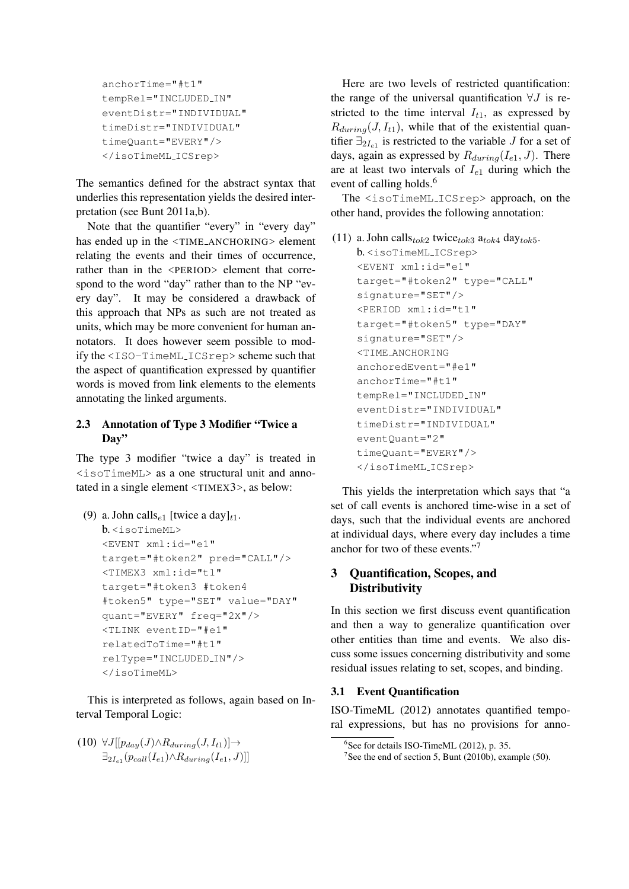```
anchorTime="#t1"
tempRel="INCLUDED IN"
eventDistr="INDIVIDUAL"
timeDistr="INDIVIDUAL"
timeQuant="EVERY"/>
</isoTimeML ICSrep>
```
The semantics defined for the abstract syntax that underlies this representation yields the desired interpretation (see Bunt 2011a,b).

Note that the quantifier "every" in "every day" has ended up in the <TIME\_ANCHORING> element relating the events and their times of occurrence, rather than in the <PERIOD> element that correspond to the word "day" rather than to the NP "every day". It may be considered a drawback of this approach that NPs as such are not treated as units, which may be more convenient for human annotators. It does however seem possible to modify the <ISO-TimeML ICSrep> scheme such that the aspect of quantification expressed by quantifier words is moved from link elements to the elements annotating the linked arguments.

# 2.3 Annotation of Type 3 Modifier "Twice a Day"

The type 3 modifier "twice a day" is treated in <isoTimeML> as a one structural unit and annotated in a single element <TIMEX3>, as below:

(9) a. John calls<sub>e1</sub> [twice a day]<sub>t1</sub>.  $b \leq i$ soTimeML> <EVENT xml:id="e1" target="#token2" pred="CALL"/> <TIMEX3 xml:id="t1" target="#token3 #token4 #token5" type="SET" value="DAY" quant="EVERY" freq="2X"/> <TLINK eventID="#e1" relatedToTime="#t1" relType="INCLUDED IN"/> </isoTimeML>

This is interpreted as follows, again based on Interval Temporal Logic:

 $(10) \ \forall J[[p_{day}(J) \wedge R_{during}(J, I_{t1})] \rightarrow$  $\exists_{2I_{e1}}(p_{call}(I_{e1}) \wedge R_{during}(I_{e1},J))]$ 

Here are two levels of restricted quantification: the range of the universal quantification  $\forall J$  is restricted to the time interval  $I_{t1}$ , as expressed by  $R_{during}(J, I_{t1})$ , while that of the existential quantifier  $\exists_{2I_{e1}}$  is restricted to the variable J for a set of days, again as expressed by  $R_{during}(I_{e1}, J)$ . There are at least two intervals of  $I_{e1}$  during which the event of calling holds.<sup>6</sup>

The <isoTimeML ICSrep> approach, on the other hand, provides the following annotation:

```
(11) a. John callst_{ok2} twicet_{ok3} at<sub>ok4</sub> dayt_{ok5}.
    b. <isoTimeML ICSrep>
    <EVENT xml:id="e1"
    target="#token2" type="CALL"
    signature="SET"/>
    <PERIOD xml:id="t1"
    target="#token5" type="DAY"
    signature="SET"/>
    <TIME ANCHORING
    anchoredEvent="#e1"
    anchorTime="#t1"
    tempRel="INCLUDED IN"
    eventDistr="INDIVIDUAL"
    timeDistr="INDIVIDUAL"
    eventQuant="2"
    timeQuant="EVERY"/>
    </isoTimeML ICSrep>
```
This yields the interpretation which says that "a set of call events is anchored time-wise in a set of days, such that the individual events are anchored at individual days, where every day includes a time anchor for two of these events."<sup>7</sup>

# 3 Quantification, Scopes, and **Distributivity**

In this section we first discuss event quantification and then a way to generalize quantification over other entities than time and events. We also discuss some issues concerning distributivity and some residual issues relating to set, scopes, and binding.

# 3.1 Event Quantification

ISO-TimeML (2012) annotates quantified temporal expressions, but has no provisions for anno-

<sup>6</sup> See for details ISO-TimeML (2012), p. 35.

<sup>&</sup>lt;sup>7</sup>See the end of section 5, Bunt (2010b), example (50).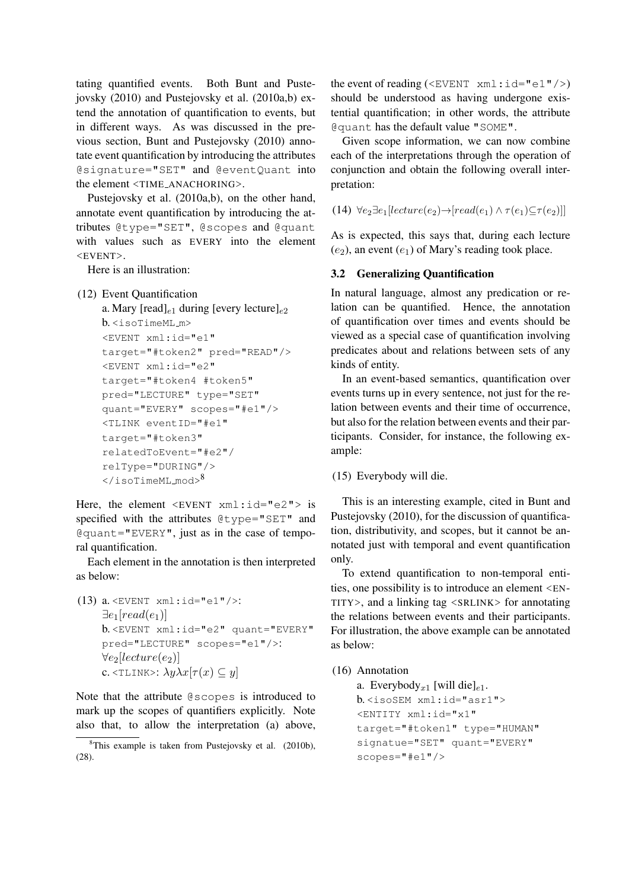tating quantified events. Both Bunt and Pustejovsky (2010) and Pustejovsky et al. (2010a,b) extend the annotation of quantification to events, but in different ways. As was discussed in the previous section, Bunt and Pustejovsky (2010) annotate event quantification by introducing the attributes @signature="SET" and @eventQuant into the element <TIME ANACHORING>.

Pustejovsky et al. (2010a,b), on the other hand, annotate event quantification by introducing the attributes @type="SET", @scopes and @quant with values such as EVERY into the element <EVENT>.

Here is an illustration:

#### (12) Event Quantification

```
a. Mary [read]_{e1} during [every lecture]_{e2}b. <isoTimeML m>
<EVENT xml:id="e1"
target="#token2" pred="READ"/>
<EVENT xml:id="e2"
target="#token4 #token5"
pred="LECTURE" type="SET"
quant="EVERY" scopes="#e1"/>
<TLINK eventID="#e1"
target="#token3"
relatedToEvent="#e2"/
relType="DURING"/>
\langle/isoTimeML_mod\rangle^8
```
Here, the element  $\leq$ EVENT  $xml$ : $id="e2"$  is specified with the attributes @type="SET" and @quant="EVERY", just as in the case of temporal quantification.

Each element in the annotation is then interpreted as below:

```
(13) a. <EVENT xml:id="e1"/>:
       \exists e_1[read(e_1)]b. <EVENT xml:id="e2" quant="EVERY"
      pred="LECTURE" scopes="e1"/>:
      \forall e_2[lecture(e<sub>2</sub>)]
      c. \langle \text{TLINK} \rangle: \lambda y \lambda x [\tau(x) \subseteq y]
```
Note that the attribute @scopes is introduced to mark up the scopes of quantifiers explicitly. Note also that, to allow the interpretation (a) above, the event of reading ( $\leq$ EVENT  $xml$ : $id="el"$ />) should be understood as having undergone existential quantification; in other words, the attribute @quant has the default value "SOME".

Given scope information, we can now combine each of the interpretations through the operation of conjunction and obtain the following overall interpretation:

(14)  $\forall e_2 \exists e_1 [lecture(e_2) \rightarrow [read(e_1) \land \tau(e_1) \subseteq \tau(e_2)]]$ 

As is expected, this says that, during each lecture  $(e_2)$ , an event  $(e_1)$  of Mary's reading took place.

### 3.2 Generalizing Quantification

In natural language, almost any predication or relation can be quantified. Hence, the annotation of quantification over times and events should be viewed as a special case of quantification involving predicates about and relations between sets of any kinds of entity.

In an event-based semantics, quantification over events turns up in every sentence, not just for the relation between events and their time of occurrence, but also for the relation between events and their participants. Consider, for instance, the following example:

(15) Everybody will die.

This is an interesting example, cited in Bunt and Pustejovsky (2010), for the discussion of quantification, distributivity, and scopes, but it cannot be annotated just with temporal and event quantification only.

To extend quantification to non-temporal entities, one possibility is to introduce an element <EN-TITY>, and a linking tag <SRLINK> for annotating the relations between events and their participants. For illustration, the above example can be annotated as below:

### (16) Annotation

a. Everybody<sub>x1</sub> [will die]<sub>e1</sub>. b. <isoSEM xml:id="asr1"> <ENTITY xml:id="x1" target="#token1" type="HUMAN" signatue="SET" quant="EVERY" scopes="#e1"/>

<sup>8</sup>This example is taken from Pustejovsky et al. (2010b), (28).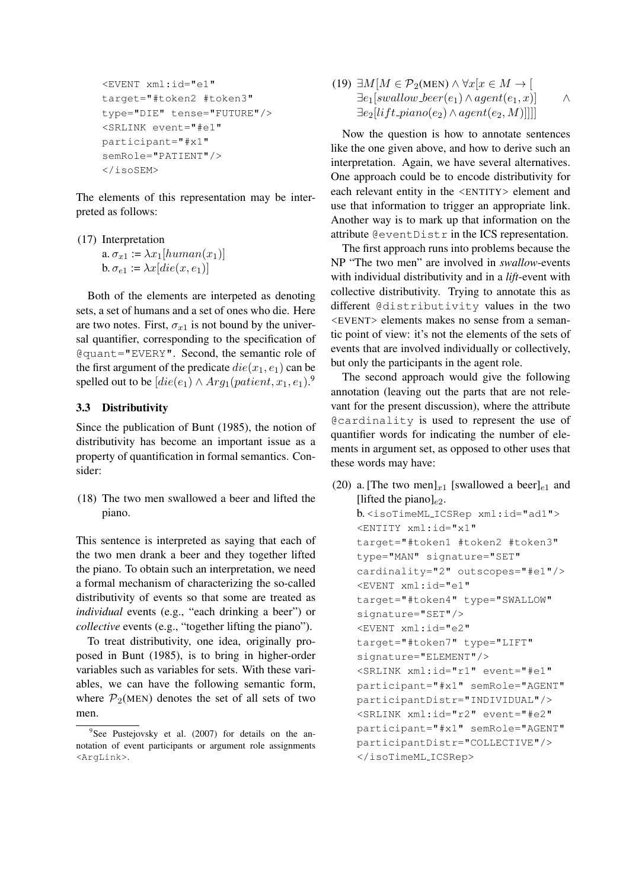```
<EVENT xml:id="e1"
target="#token2 #token3"
type="DIE" tense="FUTURE"/>
<SRLINK event="#e1"
participant="#x1"
semRole="PATIENT"/>
</isoSEM>
```
The elements of this representation may be interpreted as follows:

(17) Interpretation a.  $\sigma_{x1} := \lambda x_1 \left[ \text{human}(x_1) \right]$ b.  $\sigma_{e1}$  :=  $\lambda x$ [die(x, e<sub>1</sub>)]

Both of the elements are interpeted as denoting sets, a set of humans and a set of ones who die. Here are two notes. First,  $\sigma_{x1}$  is not bound by the universal quantifier, corresponding to the specification of @quant="EVERY". Second, the semantic role of the first argument of the predicate  $die(x_1, e_1)$  can be spelled out to be  $[die(e_1) \wedge Arg_1(patient, x_1, e_1).$ <sup>9</sup>

### 3.3 Distributivity

Since the publication of Bunt (1985), the notion of distributivity has become an important issue as a property of quantification in formal semantics. Consider:

(18) The two men swallowed a beer and lifted the piano.

This sentence is interpreted as saying that each of the two men drank a beer and they together lifted the piano. To obtain such an interpretation, we need a formal mechanism of characterizing the so-called distributivity of events so that some are treated as *individual* events (e.g., "each drinking a beer") or *collective* events (e.g., "together lifting the piano").

To treat distributivity, one idea, originally proposed in Bunt (1985), is to bring in higher-order variables such as variables for sets. With these variables, we can have the following semantic form, where  $\mathcal{P}_2$ (MEN) denotes the set of all sets of two men.

(19) 
$$
\exists M[M \in \mathcal{P}_2(\text{MEN}) \land \forall x[x \in M \rightarrow [
$$

$$
\exists e_1[swallow\_{b} = e_1) \land agent(e_1, x)] \land \exists e_2[lift\_{piano}(e_2) \land agent(e_2, M)]]]
$$

Now the question is how to annotate sentences like the one given above, and how to derive such an interpretation. Again, we have several alternatives. One approach could be to encode distributivity for each relevant entity in the <ENTITY> element and use that information to trigger an appropriate link. Another way is to mark up that information on the attribute @eventDistr in the ICS representation.

The first approach runs into problems because the NP "The two men" are involved in *swallow*-events with individual distributivity and in a *lift*-event with collective distributivity. Trying to annotate this as different @distributivity values in the two <EVENT> elements makes no sense from a semantic point of view: it's not the elements of the sets of events that are involved individually or collectively, but only the participants in the agent role.

The second approach would give the following annotation (leaving out the parts that are not relevant for the present discussion), where the attribute @cardinality is used to represent the use of quantifier words for indicating the number of elements in argument set, as opposed to other uses that these words may have:

(20) a. [The two men]<sub>x1</sub> [swallowed a beer]<sub>e1</sub> and [lifted the piano] $_{e2}$ . b. <isoTimeML ICSRep xml:id="ad1"> <ENTITY xml:id="x1" target="#token1 #token2 #token3" type="MAN" signature="SET" cardinality="2" outscopes="#e1"/> <EVENT xml:id="e1" target="#token4" type="SWALLOW" signature="SET"/> <EVENT xml:id="e2" target="#token7" type="LIFT" signature="ELEMENT"/> <SRLINK xml:id="r1" event="#e1" participant="#x1" semRole="AGENT" participantDistr="INDIVIDUAL"/> <SRLINK xml:id="r2" event="#e2" participant="#x1" semRole="AGENT" participantDistr="COLLECTIVE"/> </isoTimeML ICSRep>

<sup>&</sup>lt;sup>9</sup>See Pustejovsky et al. (2007) for details on the annotation of event participants or argument role assignments <ArgLink>.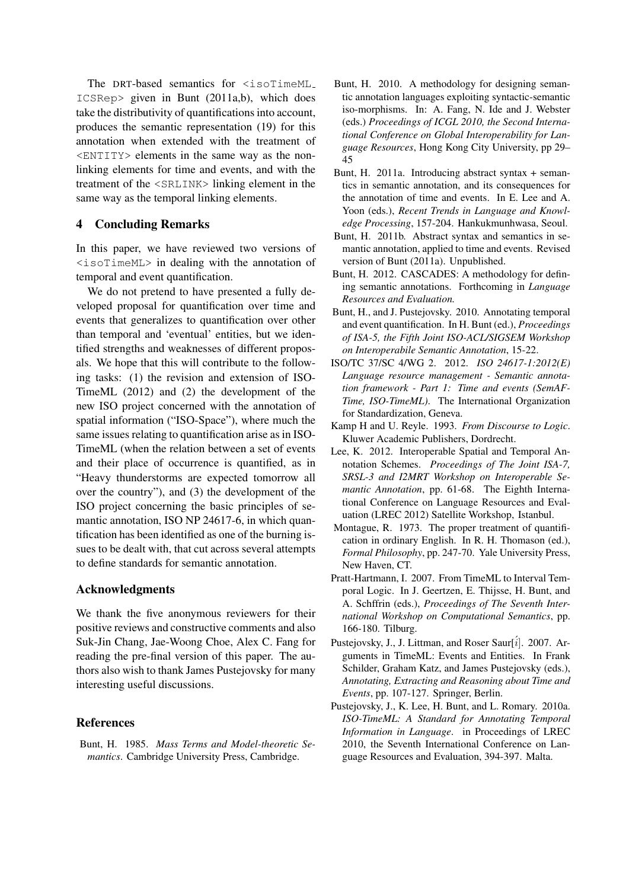The DRT-based semantics for <isoTimeML ICSRep> given in Bunt (2011a,b), which does take the distributivity of quantifications into account, produces the semantic representation (19) for this annotation when extended with the treatment of <ENTITY> elements in the same way as the nonlinking elements for time and events, and with the treatment of the <SRLINK> linking element in the same way as the temporal linking elements.

# 4 Concluding Remarks

In this paper, we have reviewed two versions of <isoTimeML> in dealing with the annotation of temporal and event quantification.

We do not pretend to have presented a fully developed proposal for quantification over time and events that generalizes to quantification over other than temporal and 'eventual' entities, but we identified strengths and weaknesses of different proposals. We hope that this will contribute to the following tasks: (1) the revision and extension of ISO-TimeML (2012) and (2) the development of the new ISO project concerned with the annotation of spatial information ("ISO-Space"), where much the same issues relating to quantification arise as in ISO-TimeML (when the relation between a set of events and their place of occurrence is quantified, as in "Heavy thunderstorms are expected tomorrow all over the country"), and (3) the development of the ISO project concerning the basic principles of semantic annotation, ISO NP 24617-6, in which quantification has been identified as one of the burning issues to be dealt with, that cut across several attempts to define standards for semantic annotation.

### Acknowledgments

We thank the five anonymous reviewers for their positive reviews and constructive comments and also Suk-Jin Chang, Jae-Woong Choe, Alex C. Fang for reading the pre-final version of this paper. The authors also wish to thank James Pustejovsky for many interesting useful discussions.

### References

Bunt, H. 1985. *Mass Terms and Model-theoretic Semantics*. Cambridge University Press, Cambridge.

- Bunt, H. 2010. A methodology for designing semantic annotation languages exploiting syntactic-semantic iso-morphisms. In: A. Fang, N. Ide and J. Webster (eds.) *Proceedings of ICGL 2010, the Second International Conference on Global Interoperability for Language Resources*, Hong Kong City University, pp 29– 45
- Bunt, H. 2011a. Introducing abstract syntax + semantics in semantic annotation, and its consequences for the annotation of time and events. In E. Lee and A. Yoon (eds.), *Recent Trends in Language and Knowledge Processing*, 157-204. Hankukmunhwasa, Seoul.
- Bunt, H. 2011b. Abstract syntax and semantics in semantic annotation, applied to time and events. Revised version of Bunt (2011a). Unpublished.
- Bunt, H. 2012. CASCADES: A methodology for defining semantic annotations. Forthcoming in *Language Resources and Evaluation.*
- Bunt, H., and J. Pustejovsky. 2010. Annotating temporal and event quantification. In H. Bunt (ed.), *Proceedings of ISA-5, the Fifth Joint ISO-ACL/SIGSEM Workshop on Interoperabile Semantic Annotation*, 15-22.
- ISO/TC 37/SC 4/WG 2. 2012. *ISO 24617-1:2012(E) Language resource management - Semantic annotation framework - Part 1: Time and events (SemAF-Time, ISO-TimeML)*. The International Organization for Standardization, Geneva.
- Kamp H and U. Reyle. 1993. *From Discourse to Logic*. Kluwer Academic Publishers, Dordrecht.
- Lee, K. 2012. Interoperable Spatial and Temporal Annotation Schemes. *Proceedings of The Joint ISA-7, SRSL-3 and I2MRT Workshop on Interoperable Semantic Annotation*, pp. 61-68. The Eighth International Conference on Language Resources and Evaluation (LREC 2012) Satellite Workshop, Istanbul.
- Montague, R. 1973. The proper treatment of quantification in ordinary English. In R. H. Thomason (ed.), *Formal Philosophy*, pp. 247-70. Yale University Press, New Haven, CT.
- Pratt-Hartmann, I. 2007. From TimeML to Interval Temporal Logic. In J. Geertzen, E. Thijsse, H. Bunt, and A. Schffrin (eds.), *Proceedings of The Seventh International Workshop on Computational Semantics*, pp. 166-180. Tilburg.
- Pustejovsky, J., J. Littman, and Roser Saur[i]. 2007. Arguments in TimeML: Events and Entities. In Frank Schilder, Graham Katz, and James Pustejovsky (eds.), *Annotating, Extracting and Reasoning about Time and Events*, pp. 107-127. Springer, Berlin.
- Pustejovsky, J., K. Lee, H. Bunt, and L. Romary. 2010a. *ISO-TimeML: A Standard for Annotating Temporal Information in Language*. in Proceedings of LREC 2010, the Seventh International Conference on Language Resources and Evaluation, 394-397. Malta.